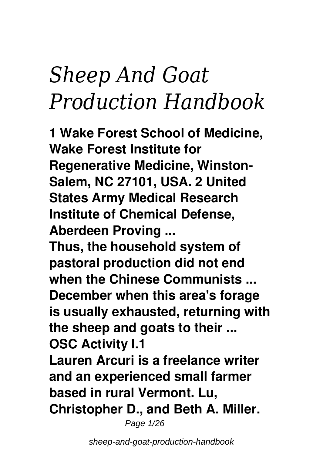# *Sheep And Goat Production Handbook*

**1 Wake Forest School of Medicine, Wake Forest Institute for Regenerative Medicine, Winston-Salem, NC 27101, USA. 2 United States Army Medical Research Institute of Chemical Defense, Aberdeen Proving ...**

**Thus, the household system of pastoral production did not end when the Chinese Communists ... December when this area's forage is usually exhausted, returning with the sheep and goats to their ... OSC Activity I.1**

**Lauren Arcuri is a freelance writer and an experienced small farmer based in rural Vermont. Lu, Christopher D., and Beth A. Miller.**

Page 1/26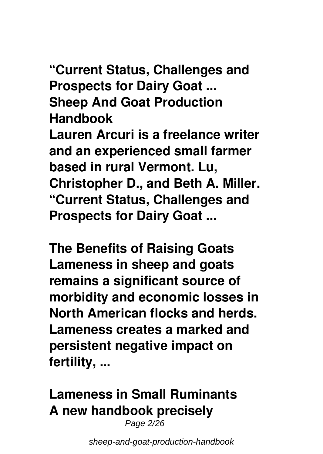**"Current Status, Challenges and Prospects for Dairy Goat ... Sheep And Goat Production Handbook**

**Lauren Arcuri is a freelance writer and an experienced small farmer based in rural Vermont. Lu, Christopher D., and Beth A. Miller. "Current Status, Challenges and Prospects for Dairy Goat ...**

**The Benefits of Raising Goats Lameness in sheep and goats remains a significant source of morbidity and economic losses in North American flocks and herds. Lameness creates a marked and persistent negative impact on fertility, ...**

# **Lameness in Small Ruminants A new handbook precisely**

Page 2/26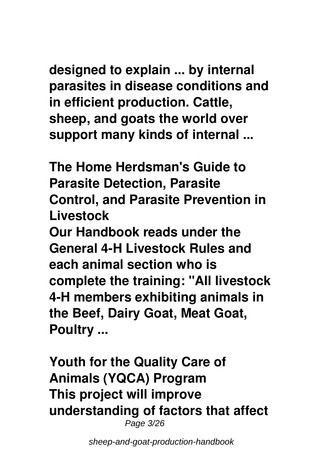**designed to explain ... by internal parasites in disease conditions and in efficient production. Cattle, sheep, and goats the world over support many kinds of internal ...**

**The Home Herdsman's Guide to Parasite Detection, Parasite Control, and Parasite Prevention in Livestock**

**Our Handbook reads under the General 4-H Livestock Rules and each animal section who is complete the training: "All livestock 4-H members exhibiting animals in the Beef, Dairy Goat, Meat Goat, Poultry ...**

**Youth for the Quality Care of Animals (YQCA) Program This project will improve understanding of factors that affect** Page 3/26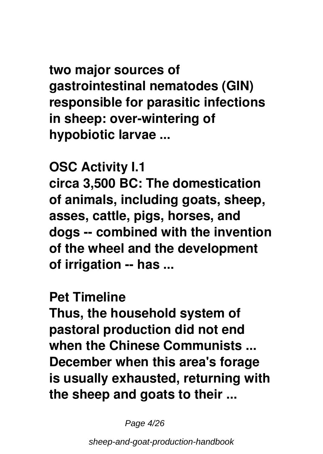**two major sources of gastrointestinal nematodes (GIN) responsible for parasitic infections in sheep: over-wintering of hypobiotic larvae ...**

**OSC Activity I.1 circa 3,500 BC: The domestication of animals, including goats, sheep, asses, cattle, pigs, horses, and dogs -- combined with the invention of the wheel and the development of irrigation -- has ...**

#### **Pet Timeline**

**Thus, the household system of pastoral production did not end when the Chinese Communists ... December when this area's forage is usually exhausted, returning with the sheep and goats to their ...**

Page 4/26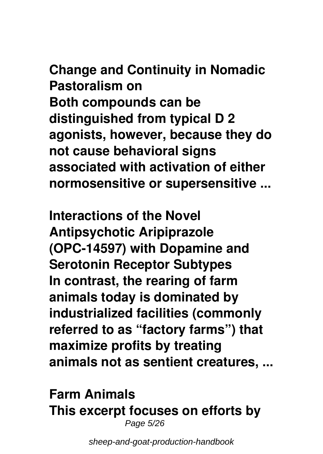**Change and Continuity in Nomadic Pastoralism on Both compounds can be distinguished from typical D 2 agonists, however, because they do not cause behavioral signs associated with activation of either normosensitive or supersensitive ...**

**Interactions of the Novel Antipsychotic Aripiprazole (OPC-14597) with Dopamine and Serotonin Receptor Subtypes In contrast, the rearing of farm animals today is dominated by industrialized facilities (commonly referred to as "factory farms") that maximize profits by treating animals not as sentient creatures, ...**

#### **Farm Animals This excerpt focuses on efforts by** Page 5/26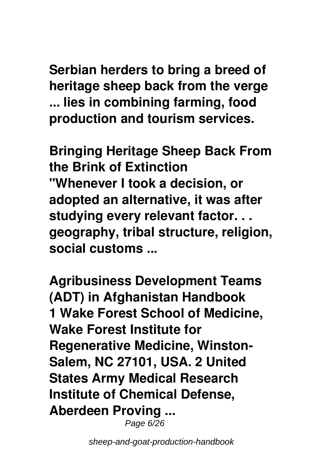**Serbian herders to bring a breed of heritage sheep back from the verge ... lies in combining farming, food production and tourism services.**

**Bringing Heritage Sheep Back From the Brink of Extinction "Whenever I took a decision, or adopted an alternative, it was after studying every relevant factor. . . geography, tribal structure, religion, social customs ...**

**Agribusiness Development Teams (ADT) in Afghanistan Handbook 1 Wake Forest School of Medicine, Wake Forest Institute for Regenerative Medicine, Winston-Salem, NC 27101, USA. 2 United States Army Medical Research Institute of Chemical Defense, Aberdeen Proving ...**

Page 6/26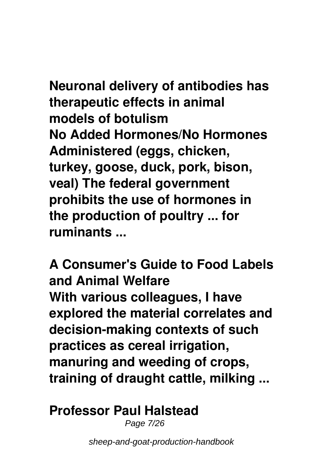**Neuronal delivery of antibodies has therapeutic effects in animal models of botulism No Added Hormones/No Hormones Administered (eggs, chicken, turkey, goose, duck, pork, bison, veal) The federal government prohibits the use of hormones in the production of poultry ... for ruminants ...**

**A Consumer's Guide to Food Labels and Animal Welfare With various colleagues, I have explored the material correlates and decision-making contexts of such practices as cereal irrigation, manuring and weeding of crops, training of draught cattle, milking ...**

#### **Professor Paul Halstead**

Page 7/26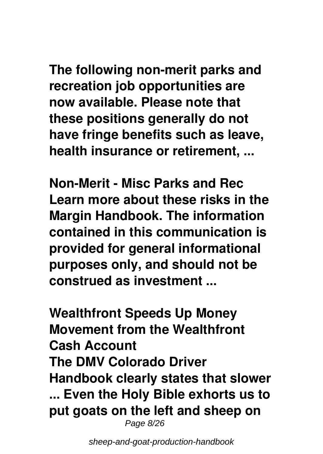**The following non-merit parks and recreation job opportunities are now available. Please note that these positions generally do not have fringe benefits such as leave, health insurance or retirement, ...**

**Non-Merit - Misc Parks and Rec Learn more about these risks in the Margin Handbook. The information contained in this communication is provided for general informational purposes only, and should not be construed as investment ...**

**Wealthfront Speeds Up Money Movement from the Wealthfront Cash Account The DMV Colorado Driver Handbook clearly states that slower ... Even the Holy Bible exhorts us to put goats on the left and sheep on** Page 8/26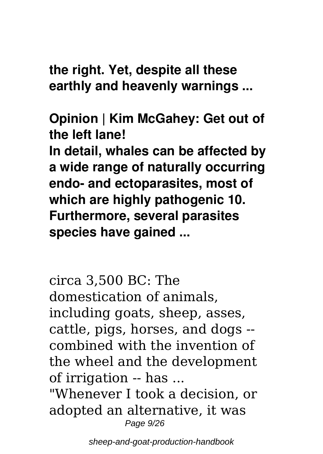**the right. Yet, despite all these earthly and heavenly warnings ...**

**Opinion | Kim McGahey: Get out of the left lane! In detail, whales can be affected by a wide range of naturally occurring endo- and ectoparasites, most of which are highly pathogenic 10. Furthermore, several parasites species have gained ...**

circa 3,500 BC: The domestication of animals, including goats, sheep, asses, cattle, pigs, horses, and dogs - combined with the invention of the wheel and the development of irrigation -- has ...

"Whenever I took a decision, or adopted an alternative, it was Page  $9/26$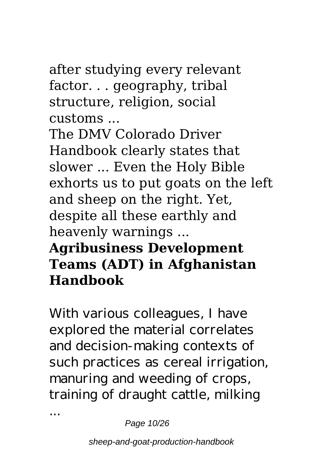### after studying every relevant factor. . . geography, tribal structure, religion, social customs ...

The DMV Colorado Driver Handbook clearly states that slower ... Even the Holy Bible exhorts us to put goats on the left and sheep on the right. Yet, despite all these earthly and heavenly warnings ...

# **Agribusiness Development Teams (ADT) in Afghanistan Handbook**

With various colleagues, I have explored the material correlates and decision-making contexts of such practices as cereal irrigation, manuring and weeding of crops, training of draught cattle, milking

Page 10/26

...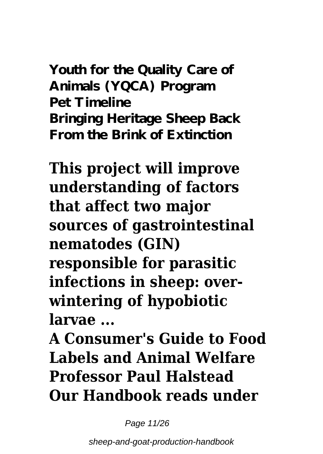**Youth for the Quality Care of Animals (YQCA) Program Pet Timeline Bringing Heritage Sheep Back From the Brink of Extinction**

**This project will improve understanding of factors that affect two major sources of gastrointestinal nematodes (GIN) responsible for parasitic infections in sheep: overwintering of hypobiotic larvae ...**

**A Consumer's Guide to Food Labels and Animal Welfare Professor Paul Halstead Our Handbook reads under**

Page 11/26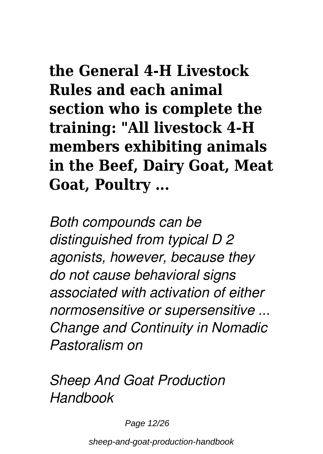**the General 4-H Livestock Rules and each animal section who is complete the training: "All livestock 4-H members exhibiting animals in the Beef, Dairy Goat, Meat Goat, Poultry ...**

*Both compounds can be distinguished from typical D 2 agonists, however, because they do not cause behavioral signs associated with activation of either normosensitive or supersensitive ... Change and Continuity in Nomadic Pastoralism on*

*Sheep And Goat Production Handbook*

Page 12/26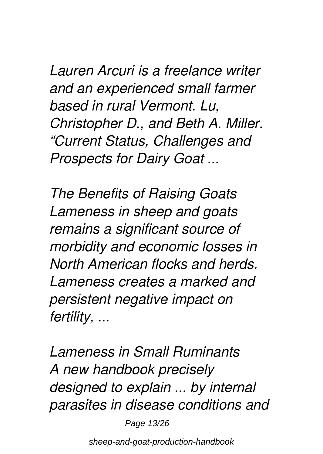*Lauren Arcuri is a freelance writer and an experienced small farmer based in rural Vermont. Lu, Christopher D., and Beth A. Miller. "Current Status, Challenges and Prospects for Dairy Goat ...*

*The Benefits of Raising Goats Lameness in sheep and goats remains a significant source of morbidity and economic losses in North American flocks and herds. Lameness creates a marked and persistent negative impact on fertility, ...*

*Lameness in Small Ruminants A new handbook precisely designed to explain ... by internal parasites in disease conditions and*

Page 13/26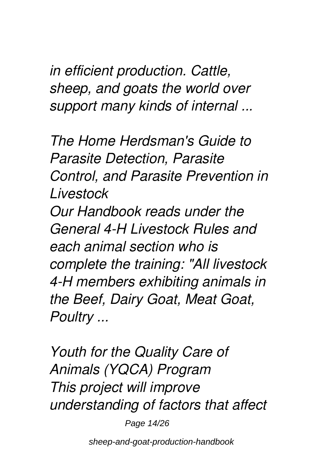*in efficient production. Cattle, sheep, and goats the world over support many kinds of internal ...*

*The Home Herdsman's Guide to Parasite Detection, Parasite Control, and Parasite Prevention in Livestock*

*Our Handbook reads under the General 4-H Livestock Rules and each animal section who is complete the training: "All livestock 4-H members exhibiting animals in the Beef, Dairy Goat, Meat Goat, Poultry ...*

*Youth for the Quality Care of Animals (YQCA) Program This project will improve understanding of factors that affect*

Page 14/26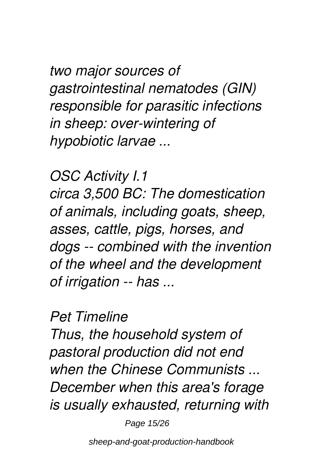*two major sources of gastrointestinal nematodes (GIN) responsible for parasitic infections in sheep: over-wintering of hypobiotic larvae ...*

*OSC Activity I.1 circa 3,500 BC: The domestication of animals, including goats, sheep, asses, cattle, pigs, horses, and dogs -- combined with the invention of the wheel and the development of irrigation -- has ...*

*Pet Timeline*

*Thus, the household system of pastoral production did not end when the Chinese Communists ... December when this area's forage is usually exhausted, returning with*

Page 15/26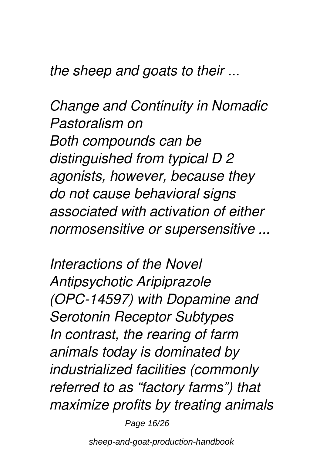*the sheep and goats to their ...*

*Change and Continuity in Nomadic Pastoralism on Both compounds can be distinguished from typical D 2 agonists, however, because they do not cause behavioral signs associated with activation of either normosensitive or supersensitive ...*

*Interactions of the Novel Antipsychotic Aripiprazole (OPC-14597) with Dopamine and Serotonin Receptor Subtypes In contrast, the rearing of farm animals today is dominated by industrialized facilities (commonly referred to as "factory farms") that maximize profits by treating animals*

Page 16/26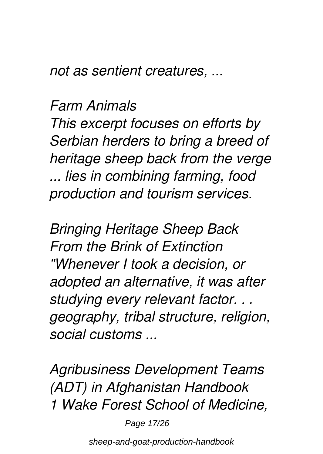*not as sentient creatures, ...*

#### *Farm Animals*

*This excerpt focuses on efforts by Serbian herders to bring a breed of heritage sheep back from the verge ... lies in combining farming, food production and tourism services.*

*Bringing Heritage Sheep Back From the Brink of Extinction "Whenever I took a decision, or adopted an alternative, it was after studying every relevant factor. . . geography, tribal structure, religion, social customs ...*

*Agribusiness Development Teams (ADT) in Afghanistan Handbook 1 Wake Forest School of Medicine,*

Page 17/26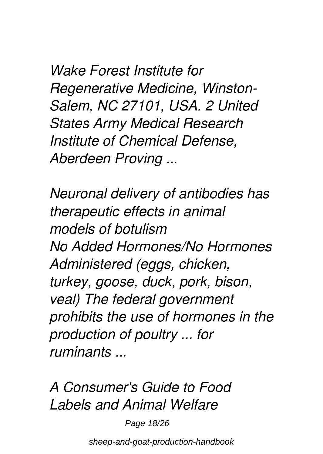*Wake Forest Institute for Regenerative Medicine, Winston-Salem, NC 27101, USA. 2 United States Army Medical Research Institute of Chemical Defense, Aberdeen Proving ...*

*Neuronal delivery of antibodies has therapeutic effects in animal models of botulism No Added Hormones/No Hormones Administered (eggs, chicken, turkey, goose, duck, pork, bison, veal) The federal government prohibits the use of hormones in the production of poultry ... for ruminants ...*

*A Consumer's Guide to Food Labels and Animal Welfare*

Page 18/26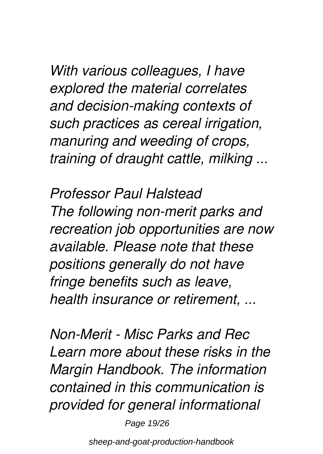*With various colleagues, I have explored the material correlates and decision-making contexts of such practices as cereal irrigation, manuring and weeding of crops, training of draught cattle, milking ...*

*Professor Paul Halstead The following non-merit parks and recreation job opportunities are now available. Please note that these positions generally do not have fringe benefits such as leave, health insurance or retirement, ...*

*Non-Merit - Misc Parks and Rec Learn more about these risks in the Margin Handbook. The information contained in this communication is provided for general informational*

Page 19/26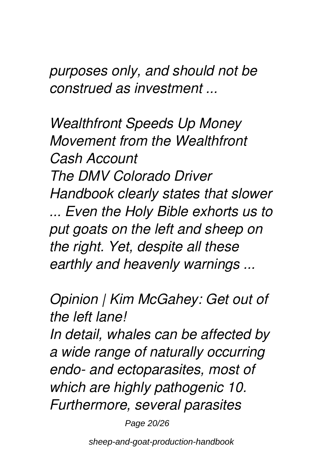*purposes only, and should not be construed as investment ...*

*Wealthfront Speeds Up Money Movement from the Wealthfront Cash Account The DMV Colorado Driver Handbook clearly states that slower ... Even the Holy Bible exhorts us to put goats on the left and sheep on the right. Yet, despite all these earthly and heavenly warnings ...*

*Opinion | Kim McGahey: Get out of the left lane!*

*In detail, whales can be affected by a wide range of naturally occurring endo- and ectoparasites, most of which are highly pathogenic 10. Furthermore, several parasites*

Page 20/26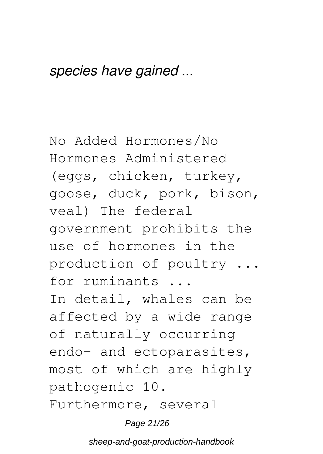#### *species have gained ...*

No Added Hormones/No Hormones Administered (eggs, chicken, turkey, goose, duck, pork, bison, veal) The federal government prohibits the use of hormones in the production of poultry ... for ruminants ... In detail, whales can be affected by a wide range of naturally occurring endo- and ectoparasites, most of which are highly pathogenic 10. Furthermore, several

Page 21/26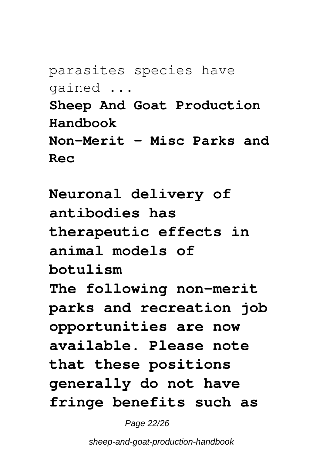parasites species have gained ...

**Sheep And Goat Production Handbook Non-Merit - Misc Parks and Rec**

**Neuronal delivery of antibodies has therapeutic effects in animal models of botulism The following non-merit parks and recreation job opportunities are now available. Please note that these positions generally do not have fringe benefits such as**

Page 22/26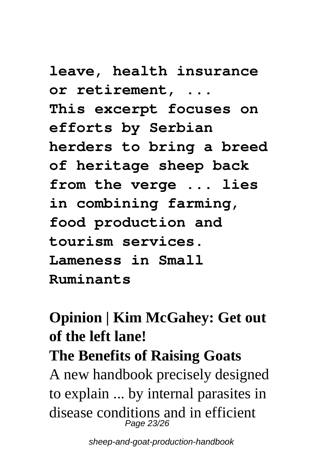**leave, health insurance or retirement, ... This excerpt focuses on efforts by Serbian herders to bring a breed of heritage sheep back from the verge ... lies in combining farming, food production and tourism services. Lameness in Small Ruminants**

# **Opinion | Kim McGahey: Get out of the left lane!**

## **The Benefits of Raising Goats**

A new handbook precisely designed to explain ... by internal parasites in disease conditions and in efficient Page 23/26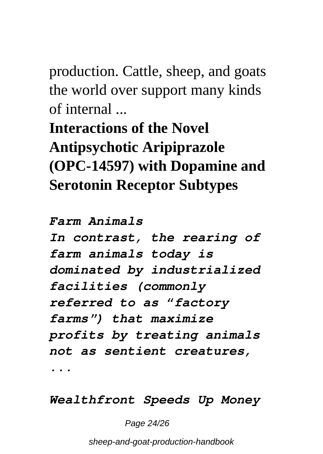production. Cattle, sheep, and goats the world over support many kinds of internal ...

**Interactions of the Novel Antipsychotic Aripiprazole (OPC-14597) with Dopamine and Serotonin Receptor Subtypes**

*Farm Animals In contrast, the rearing of farm animals today is dominated by industrialized facilities (commonly referred to as "factory farms") that maximize profits by treating animals not as sentient creatures, ...*

*Wealthfront Speeds Up Money*

Page 24/26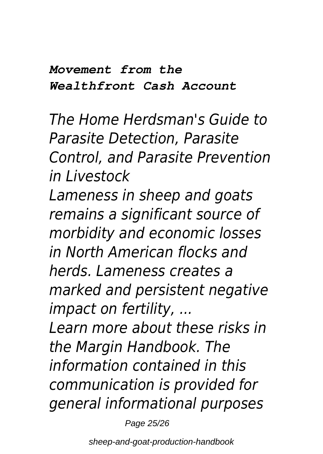#### *Movement from the Wealthfront Cash Account*

*The Home Herdsman's Guide to Parasite Detection, Parasite Control, and Parasite Prevention in Livestock Lameness in sheep and goats remains a significant source of morbidity and economic losses in North American flocks and herds. Lameness creates a marked and persistent negative impact on fertility, ...*

*Learn more about these risks in the Margin Handbook. The information contained in this communication is provided for general informational purposes*

Page 25/26